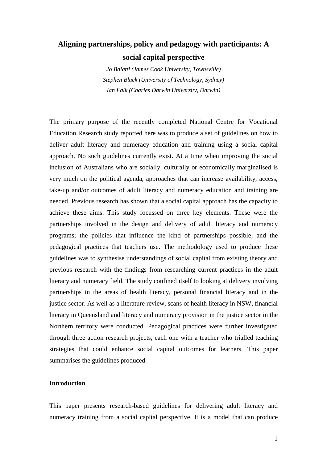# **Aligning partnerships, policy and pedagogy with participants: A social capital perspective**

*Jo Balatti (James Cook University, Townsville) Stephen Black (University of Technology, Sydney) Ian Falk (Charles Darwin University, Darwin)* 

The primary purpose of the recently completed National Centre for Vocational Education Research study reported here was to produce a set of guidelines on how to deliver adult literacy and numeracy education and training using a social capital approach. No such guidelines currently exist. At a time when improving the social inclusion of Australians who are socially, culturally or economically marginalised is very much on the political agenda, approaches that can increase availability, access, take-up and/or outcomes of adult literacy and numeracy education and training are needed. Previous research has shown that a social capital approach has the capacity to achieve these aims. This study focussed on three key elements. These were the partnerships involved in the design and delivery of adult literacy and numeracy programs; the policies that influence the kind of partnerships possible; and the pedagogical practices that teachers use. The methodology used to produce these guidelines was to synthesise understandings of social capital from existing theory and previous research with the findings from researching current practices in the adult literacy and numeracy field. The study confined itself to looking at delivery involving partnerships in the areas of health literacy, personal financial literacy and in the justice sector. As well as a literature review, scans of health literacy in NSW, financial literacy in Queensland and literacy and numeracy provision in the justice sector in the Northern territory were conducted. Pedagogical practices were further investigated through three action research projects, each one with a teacher who trialled teaching strategies that could enhance social capital outcomes for learners. This paper summarises the guidelines produced.

# **Introduction**

This paper presents research-based guidelines for delivering adult literacy and numeracy training from a social capital perspective. It is a model that can produce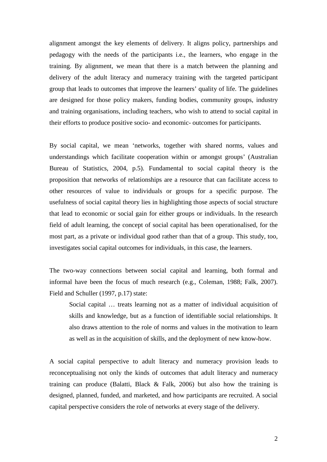alignment amongst the key elements of delivery. It aligns policy, partnerships and pedagogy with the needs of the participants i.e., the learners, who engage in the training. By alignment, we mean that there is a match between the planning and delivery of the adult literacy and numeracy training with the targeted participant group that leads to outcomes that improve the learners' quality of life. The guidelines are designed for those policy makers, funding bodies, community groups, industry and training organisations, including teachers, who wish to attend to social capital in their efforts to produce positive socio- and economic- outcomes for participants.

By social capital, we mean 'networks, together with shared norms, values and understandings which facilitate cooperation within or amongst groups' (Australian Bureau of Statistics, 2004, p.5). Fundamental to social capital theory is the proposition that networks of relationships are a resource that can facilitate access to other resources of value to individuals or groups for a specific purpose. The usefulness of social capital theory lies in highlighting those aspects of social structure that lead to economic or social gain for either groups or individuals. In the research field of adult learning, the concept of social capital has been operationalised, for the most part, as a private or individual good rather than that of a group. This study, too, investigates social capital outcomes for individuals, in this case, the learners.

The two-way connections between social capital and learning, both formal and informal have been the focus of much research (e.g., Coleman, 1988; Falk, 2007). Field and Schuller (1997, p.17) state:

Social capital … treats learning not as a matter of individual acquisition of skills and knowledge, but as a function of identifiable social relationships. It also draws attention to the role of norms and values in the motivation to learn as well as in the acquisition of skills, and the deployment of new know-how.

A social capital perspective to adult literacy and numeracy provision leads to reconceptualising not only the kinds of outcomes that adult literacy and numeracy training can produce (Balatti, Black & Falk, 2006) but also how the training is designed, planned, funded, and marketed, and how participants are recruited. A social capital perspective considers the role of networks at every stage of the delivery.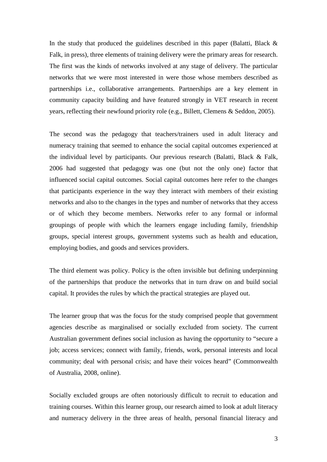In the study that produced the guidelines described in this paper (Balatti, Black & Falk, in press), three elements of training delivery were the primary areas for research. The first was the kinds of networks involved at any stage of delivery. The particular networks that we were most interested in were those whose members described as partnerships i.e., collaborative arrangements. Partnerships are a key element in community capacity building and have featured strongly in VET research in recent years, reflecting their newfound priority role (e.g., Billett, Clemens & Seddon, 2005).

The second was the pedagogy that teachers/trainers used in adult literacy and numeracy training that seemed to enhance the social capital outcomes experienced at the individual level by participants. Our previous research (Balatti, Black & Falk, 2006 had suggested that pedagogy was one (but not the only one) factor that influenced social capital outcomes. Social capital outcomes here refer to the changes that participants experience in the way they interact with members of their existing networks and also to the changes in the types and number of networks that they access or of which they become members. Networks refer to any formal or informal groupings of people with which the learners engage including family, friendship groups, special interest groups, government systems such as health and education, employing bodies, and goods and services providers.

The third element was policy. Policy is the often invisible but defining underpinning of the partnerships that produce the networks that in turn draw on and build social capital. It provides the rules by which the practical strategies are played out.

The learner group that was the focus for the study comprised people that government agencies describe as marginalised or socially excluded from society. The current Australian government defines social inclusion as having the opportunity to "secure a job; access services; connect with family, friends, work, personal interests and local community; deal with personal crisis; and have their voices heard" (Commonwealth of Australia, 2008, online).

Socially excluded groups are often notoriously difficult to recruit to education and training courses. Within this learner group, our research aimed to look at adult literacy and numeracy delivery in the three areas of health, personal financial literacy and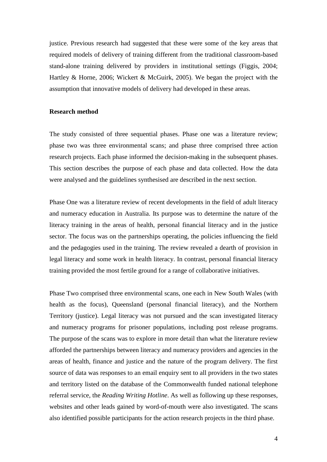justice. Previous research had suggested that these were some of the key areas that required models of delivery of training different from the traditional classroom-based stand-alone training delivered by providers in institutional settings (Figgis, 2004; Hartley & Horne, 2006; Wickert & McGuirk, 2005). We began the project with the assumption that innovative models of delivery had developed in these areas.

# **Research method**

The study consisted of three sequential phases. Phase one was a literature review; phase two was three environmental scans; and phase three comprised three action research projects. Each phase informed the decision-making in the subsequent phases. This section describes the purpose of each phase and data collected. How the data were analysed and the guidelines synthesised are described in the next section.

Phase One was a literature review of recent developments in the field of adult literacy and numeracy education in Australia. Its purpose was to determine the nature of the literacy training in the areas of health, personal financial literacy and in the justice sector. The focus was on the partnerships operating, the policies influencing the field and the pedagogies used in the training. The review revealed a dearth of provision in legal literacy and some work in health literacy. In contrast, personal financial literacy training provided the most fertile ground for a range of collaborative initiatives.

Phase Two comprised three environmental scans, one each in New South Wales (with health as the focus), Queensland (personal financial literacy), and the Northern Territory (justice). Legal literacy was not pursued and the scan investigated literacy and numeracy programs for prisoner populations, including post release programs. The purpose of the scans was to explore in more detail than what the literature review afforded the partnerships between literacy and numeracy providers and agencies in the areas of health, finance and justice and the nature of the program delivery. The first source of data was responses to an email enquiry sent to all providers in the two states and territory listed on the database of the Commonwealth funded national telephone referral service, the *Reading Writing Hotline*. As well as following up these responses, websites and other leads gained by word-of-mouth were also investigated. The scans also identified possible participants for the action research projects in the third phase.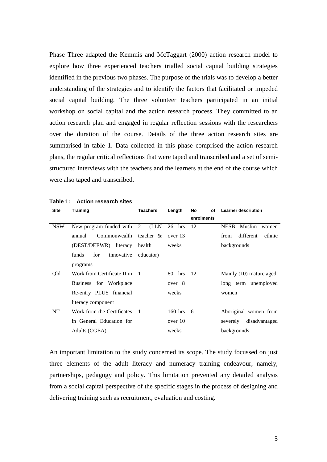Phase Three adapted the Kemmis and McTaggart (2000) action research model to explore how three experienced teachers trialled social capital building strategies identified in the previous two phases. The purpose of the trials was to develop a better understanding of the strategies and to identify the factors that facilitated or impeded social capital building. The three volunteer teachers participated in an initial workshop on social capital and the action research process. They committed to an action research plan and engaged in regular reflection sessions with the researchers over the duration of the course. Details of the three action research sites are summarised in table 1. Data collected in this phase comprised the action research plans, the regular critical reflections that were taped and transcribed and a set of semistructured interviews with the teachers and the learners at the end of the course which were also taped and transcribed.

| <b>Site</b> | <b>Training</b>             | <b>Teachers</b>  | Length    | No<br>of   | <b>Learner description</b>     |
|-------------|-----------------------------|------------------|-----------|------------|--------------------------------|
|             |                             |                  |           | enrolments |                                |
| <b>NSW</b>  | New program funded with 2   | (LLN             | 26<br>hrs | 12         | Muslim<br><b>NESB</b><br>women |
|             | Commonwealth<br>annual      | teacher &        | over 13   |            | different<br>ethnic<br>from    |
|             | (DEST/DEEWR) literacy       | health           | weeks     |            | backgrounds                    |
|             | funds<br>innovative<br>for  | educator)        |           |            |                                |
|             | programs                    |                  |           |            |                                |
| Qld         | Work from Certificate II in | $\blacksquare$ 1 | 80 hrs    | 12         | Mainly (10) mature aged,       |
|             | Business for Workplace      |                  | over 8    |            | long term unemployed           |
|             | Re-entry PLUS financial     |                  | weeks     |            | women                          |
|             | literacy component          |                  |           |            |                                |
| <b>NT</b>   | Work from the Certificates  | $\overline{1}$   | $160$ hrs | - 6        | Aboriginal women from          |
|             | in General Education for    |                  | over 10   |            | disadvantaged<br>severely      |
|             | Adults (CGEA)               |                  | weeks     |            | backgrounds                    |
|             |                             |                  |           |            |                                |

**Table 1: Action research sites** 

An important limitation to the study concerned its scope. The study focussed on just three elements of the adult literacy and numeracy training endeavour, namely, partnerships, pedagogy and policy. This limitation prevented any detailed analysis from a social capital perspective of the specific stages in the process of designing and delivering training such as recruitment, evaluation and costing.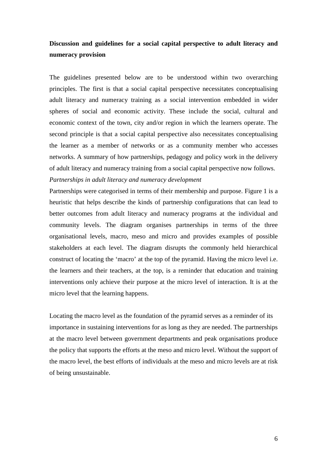# **Discussion and guidelines for a social capital perspective to adult literacy and numeracy provision**

The guidelines presented below are to be understood within two overarching principles. The first is that a social capital perspective necessitates conceptualising adult literacy and numeracy training as a social intervention embedded in wider spheres of social and economic activity. These include the social, cultural and economic context of the town, city and/or region in which the learners operate. The second principle is that a social capital perspective also necessitates conceptualising the learner as a member of networks or as a community member who accesses networks. A summary of how partnerships, pedagogy and policy work in the delivery of adult literacy and numeracy training from a social capital perspective now follows. *Partnerships in adult literacy and numeracy development* 

Partnerships were categorised in terms of their membership and purpose. Figure 1 is a heuristic that helps describe the kinds of partnership configurations that can lead to better outcomes from adult literacy and numeracy programs at the individual and community levels. The diagram organises partnerships in terms of the three organisational levels, macro, meso and micro and provides examples of possible stakeholders at each level. The diagram disrupts the commonly held hierarchical construct of locating the 'macro' at the top of the pyramid. Having the micro level i.e. the learners and their teachers, at the top, is a reminder that education and training interventions only achieve their purpose at the micro level of interaction. It is at the micro level that the learning happens.

Locating the macro level as the foundation of the pyramid serves as a reminder of its importance in sustaining interventions for as long as they are needed. The partnerships at the macro level between government departments and peak organisations produce the policy that supports the efforts at the meso and micro level. Without the support of the macro level, the best efforts of individuals at the meso and micro levels are at risk of being unsustainable.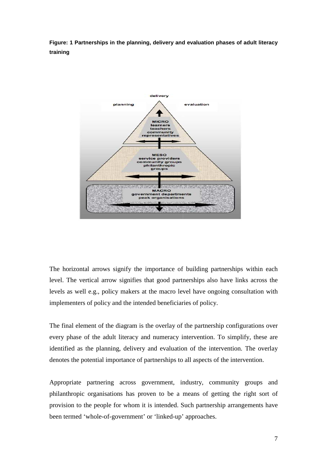**Figure: 1 Partnerships in the planning, delivery and evaluation phases of adult literacy training** 



The horizontal arrows signify the importance of building partnerships within each level. The vertical arrow signifies that good partnerships also have links across the levels as well e.g., policy makers at the macro level have ongoing consultation with implementers of policy and the intended beneficiaries of policy.

The final element of the diagram is the overlay of the partnership configurations over every phase of the adult literacy and numeracy intervention. To simplify, these are identified as the planning, delivery and evaluation of the intervention. The overlay denotes the potential importance of partnerships to all aspects of the intervention.

Appropriate partnering across government, industry, community groups and philanthropic organisations has proven to be a means of getting the right sort of provision to the people for whom it is intended. Such partnership arrangements have been termed 'whole-of-government' or 'linked-up' approaches.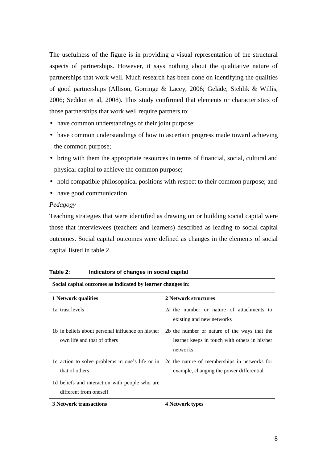The usefulness of the figure is in providing a visual representation of the structural aspects of partnerships. However, it says nothing about the qualitative nature of partnerships that work well. Much research has been done on identifying the qualities of good partnerships (Allison, Gorringe & Lacey, 2006; Gelade, Stehlik & Willis, 2006; Seddon et al, 2008). This study confirmed that elements or characteristics of those partnerships that work well require partners to:

- have common understandings of their joint purpose;
- have common understandings of how to ascertain progress made toward achieving the common purpose;
- bring with them the appropriate resources in terms of financial, social, cultural and physical capital to achieve the common purpose;
- hold compatible philosophical positions with respect to their common purpose; and
- have good communication.

# *Pedagogy*

Teaching strategies that were identified as drawing on or building social capital were those that interviewees (teachers and learners) described as leading to social capital outcomes. Social capital outcomes were defined as changes in the elements of social capital listed in table 2.

| Social capital outcomes as indicated by learner changes in: |                                                                                              |  |  |  |
|-------------------------------------------------------------|----------------------------------------------------------------------------------------------|--|--|--|
| 1 Network qualities                                         | 2 Network structures                                                                         |  |  |  |
| 1a trust levels                                             | 2a the number or nature of attachments to<br>existing and new networks                       |  |  |  |
| 1b in beliefs about personal influence on his/her           | 2b the number or nature of the ways that the                                                 |  |  |  |
| own life and that of others                                 | learner keeps in touch with others in his/her                                                |  |  |  |
|                                                             | networks                                                                                     |  |  |  |
|                                                             | 1c action to solve problems in one's life or in 2c the nature of memberships in networks for |  |  |  |
| that of others                                              | example, changing the power differential                                                     |  |  |  |
| 1d beliefs and interaction with people who are              |                                                                                              |  |  |  |
| different from oneself                                      |                                                                                              |  |  |  |
| <b>3 Network transactions</b>                               | 4 Network types                                                                              |  |  |  |

**Table 2: Indicators of changes in social capital**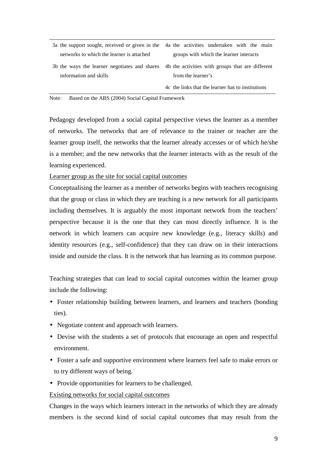| 3a the support sought, received or given in the 4a the activities undertaken with the main     |                                                   |  |  |  |  |
|------------------------------------------------------------------------------------------------|---------------------------------------------------|--|--|--|--|
| networks to which the learner is attached                                                      | groups with which the learner interacts           |  |  |  |  |
| 3b the ways the learner negotiates and shares 4b the activities with groups that are different |                                                   |  |  |  |  |
| information and skills                                                                         | from the learner's                                |  |  |  |  |
|                                                                                                | 4c the links that the learner has to institutions |  |  |  |  |

Note: Based on the ABS (2004) Social Capital Framework

Pedagogy developed from a social capital perspective views the learner as a member of networks. The networks that are of relevance to the trainer or teacher are the learner group itself, the networks that the learner already accesses or of which he/she is a member; and the new networks that the learner interacts with as the result of the learning experienced.

Learner group as the site for social capital outcomes

Conceptualising the learner as a member of networks begins with teachers recognising that the group or class in which they are teaching is a new network for all participants including themselves. It is arguably the most important network from the teachers' perspective because it is the one that they can most directly influence. It is the network in which learners can acquire new knowledge (e.g., literacy skills) and identity resources (e.g., self-confidence) that they can draw on in their interactions inside and outside the class. It is the network that has learning as its common purpose.

Teaching strategies that can lead to social capital outcomes within the learner group include the following:

- Foster relationship building between learners, and learners and teachers (bonding ties).
- Negotiate content and approach with learners.
- Devise with the students a set of protocols that encourage an open and respectful environment.
- Foster a safe and supportive environment where learners feel safe to make errors or to try different ways of being.
- Provide opportunities for learners to be challenged.

#### Existing networks for social capital outcomes

Changes in the ways which learners interact in the networks of which they are already members is the second kind of social capital outcomes that may result from the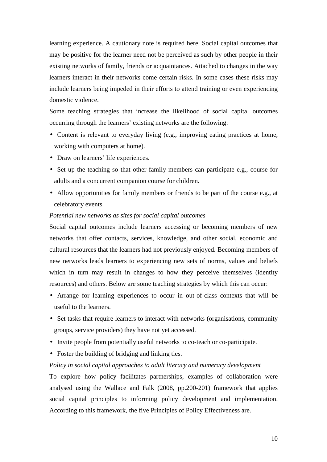learning experience. A cautionary note is required here. Social capital outcomes that may be positive for the learner need not be perceived as such by other people in their existing networks of family, friends or acquaintances. Attached to changes in the way learners interact in their networks come certain risks. In some cases these risks may include learners being impeded in their efforts to attend training or even experiencing domestic violence.

Some teaching strategies that increase the likelihood of social capital outcomes occurring through the learners' existing networks are the following:

- Content is relevant to everyday living (e.g., improving eating practices at home, working with computers at home).
- Draw on learners' life experiences.
- Set up the teaching so that other family members can participate e.g., course for adults and a concurrent companion course for children.
- Allow opportunities for family members or friends to be part of the course e.g., at celebratory events.

# *Potential new networks as sites for social capital outcomes*

Social capital outcomes include learners accessing or becoming members of new networks that offer contacts, services, knowledge, and other social, economic and cultural resources that the learners had not previously enjoyed. Becoming members of new networks leads learners to experiencing new sets of norms, values and beliefs which in turn may result in changes to how they perceive themselves (identity resources) and others. Below are some teaching strategies by which this can occur:

- Arrange for learning experiences to occur in out-of-class contexts that will be useful to the learners.
- Set tasks that require learners to interact with networks (organisations, community groups, service providers) they have not yet accessed.
- Invite people from potentially useful networks to co-teach or co-participate.
- Foster the building of bridging and linking ties.

# *Policy in social capital approaches to adult literacy and numeracy development*

To explore how policy facilitates partnerships, examples of collaboration were analysed using the Wallace and Falk (2008, pp.200-201) framework that applies social capital principles to informing policy development and implementation. According to this framework, the five Principles of Policy Effectiveness are.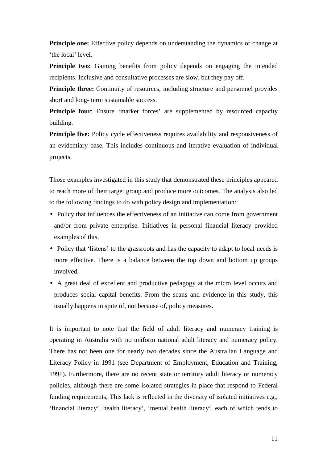**Principle one:** Effective policy depends on understanding the dynamics of change at 'the local' level.

**Principle two:** Gaining benefits from policy depends on engaging the intended recipients. Inclusive and consultative processes are slow, but they pay off.

**Principle three:** Continuity of resources, including structure and personnel provides short and long- term sustainable success.

**Principle four:** Ensure 'market forces' are supplemented by resourced capacity building.

**Principle five:** Policy cycle effectiveness requires availability and responsiveness of an evidentiary base. This includes continuous and iterative evaluation of individual projects.

Those examples investigated in this study that demonstrated these principles appeared to reach more of their target group and produce more outcomes. The analysis also led to the following findings to do with policy design and implementation:

- Policy that influences the effectiveness of an initiative can come from government and/or from private enterprise. Initiatives in personal financial literacy provided examples of this.
- Policy that 'listens' to the grassroots and has the capacity to adapt to local needs is more effective. There is a balance between the top down and bottom up groups involved.
- A great deal of excellent and productive pedagogy at the micro level occurs and produces social capital benefits. From the scans and evidence in this study, this usually happens in spite of, not because of, policy measures.

It is important to note that the field of adult literacy and numeracy training is operating in Australia with no uniform national adult literacy and numeracy policy. There has not been one for nearly two decades since the Australian Language and Literacy Policy in 1991 (see Department of Employment, Education and Training, 1991). Furthermore, there are no recent state or territory adult literacy or numeracy policies, although there are some isolated strategies in place that respond to Federal funding requirements; This lack is reflected in the diversity of isolated initiatives e.g., 'financial literacy', health literacy', 'mental health literacy', each of which tends to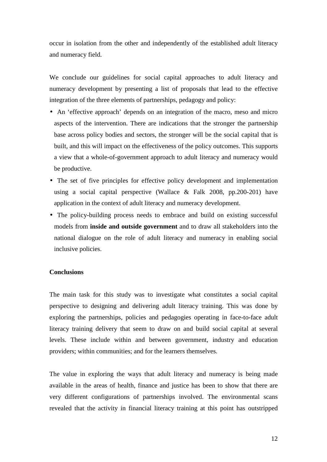occur in isolation from the other and independently of the established adult literacy and numeracy field.

We conclude our guidelines for social capital approaches to adult literacy and numeracy development by presenting a list of proposals that lead to the effective integration of the three elements of partnerships, pedagogy and policy:

- An 'effective approach' depends on an integration of the macro, meso and micro aspects of the intervention. There are indications that the stronger the partnership base across policy bodies and sectors, the stronger will be the social capital that is built, and this will impact on the effectiveness of the policy outcomes. This supports a view that a whole-of-government approach to adult literacy and numeracy would be productive.
- The set of five principles for effective policy development and implementation using a social capital perspective (Wallace & Falk 2008, pp.200-201) have application in the context of adult literacy and numeracy development.
- The policy-building process needs to embrace and build on existing successful models from **inside and outside government** and to draw all stakeholders into the national dialogue on the role of adult literacy and numeracy in enabling social inclusive policies.

#### **Conclusions**

The main task for this study was to investigate what constitutes a social capital perspective to designing and delivering adult literacy training. This was done by exploring the partnerships, policies and pedagogies operating in face-to-face adult literacy training delivery that seem to draw on and build social capital at several levels. These include within and between government, industry and education providers; within communities; and for the learners themselves.

The value in exploring the ways that adult literacy and numeracy is being made available in the areas of health, finance and justice has been to show that there are very different configurations of partnerships involved. The environmental scans revealed that the activity in financial literacy training at this point has outstripped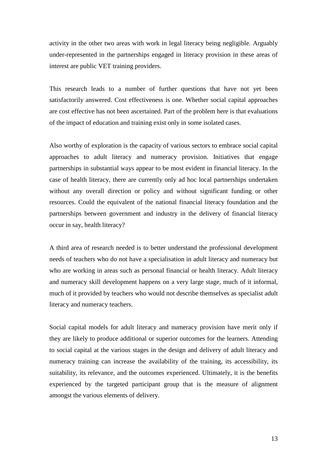activity in the other two areas with work in legal literacy being negligible. Arguably under-represented in the partnerships engaged in literacy provision in these areas of interest are public VET training providers.

This research leads to a number of further questions that have not yet been satisfactorily answered. Cost effectiveness is one. Whether social capital approaches are cost effective has not been ascertained. Part of the problem here is that evaluations of the impact of education and training exist only in some isolated cases.

Also worthy of exploration is the capacity of various sectors to embrace social capital approaches to adult literacy and numeracy provision. Initiatives that engage partnerships in substantial ways appear to be most evident in financial literacy. In the case of health literacy, there are currently only ad hoc local partnerships undertaken without any overall direction or policy and without significant funding or other resources. Could the equivalent of the national financial literacy foundation and the partnerships between government and industry in the delivery of financial literacy occur in say, health literacy?

A third area of research needed is to better understand the professional development needs of teachers who do not have a specialisation in adult literacy and numeracy but who are working in areas such as personal financial or health literacy. Adult literacy and numeracy skill development happens on a very large stage, much of it informal, much of it provided by teachers who would not describe themselves as specialist adult literacy and numeracy teachers.

Social capital models for adult literacy and numeracy provision have merit only if they are likely to produce additional or superior outcomes for the learners. Attending to social capital at the various stages in the design and delivery of adult literacy and numeracy training can increase the availability of the training, its accessibility, its suitability, its relevance, and the outcomes experienced. Ultimately, it is the benefits experienced by the targeted participant group that is the measure of alignment amongst the various elements of delivery.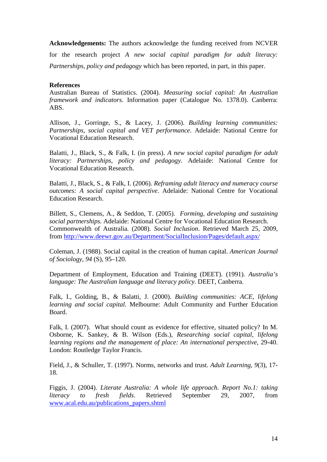**Acknowledgements:** The authors acknowledge the funding received from NCVER for the research project *A new social capital paradigm for adult literacy: Partnerships, policy and pedagogy* which has been reported, in part, in this paper.

# **References**

Australian Bureau of Statistics. (2004). *Measuring social capital: An Australian framework and indicators.* Information paper (Catalogue No. 1378.0). Canberra: ABS.

Allison, J., Gorringe, S., & Lacey, J. (2006). *Building learning communities: Partnerships, social capital and VET performance*. Adelaide: National Centre for Vocational Education Research.

Balatti, J., Black, S., & Falk, I. (in press). *A new social capital paradigm for adult literacy: Partnerships, policy and pedagogy*. Adelaide: National Centre for Vocational Education Research.

Balatti, J., Black, S., & Falk, I. (2006). *Reframing adult literacy and numeracy course outcomes: A social capital perspective*. Adelaide: National Centre for Vocational Education Research.

Billett, S., Clemens, A., & Seddon, T. (2005). *Forming, developing and sustaining social partnerships.* Adelaide: National Centre for Vocational Education Research. Commonwealth of Australia. (2008). *Social Inclusion*. Retrieved March 25, 2009, from http://www.deewr.gov.au/Department/SocialInclusion/Pages/default.aspx/

Coleman, J. (1988). Social capital in the creation of human capital. *American Journal of Sociology*, *94* (S), 95–120.

Department of Employment, Education and Training (DEET). (1991). *Australia's language: The Australian language and literacy policy*. DEET, Canberra.

Falk, I., Golding, B., & Balatti, J. (2000). *Building communities: ACE, lifelong learning and social capital.* Melbourne: Adult Community and Further Education Board.

Falk, I. (2007). What should count as evidence for effective, situated policy? In M. Osborne, K. Sankey, & B. Wilson (Eds.), *Researching social capital, lifelong learning regions and the management of place: An international perspective*, 29-40. London: Routledge Taylor Francis.

Field, J., & Schuller, T. (1997). Norms, networks and trust. *Adult Learning*, *9*(3), 17- 18.

Figgis, J. (2004). *Literate Australia: A whole life approach. Report No.1: taking literacy to fresh fields*. Retrieved September 29, 2007, from www.acal.edu.au/publications\_papers.shtml